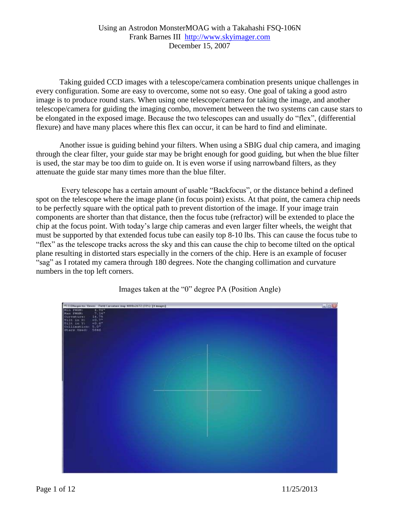## Using an Astrodon MonsterMOAG with a Takahashi FSQ-106N Frank Barnes III [http://www.skyimager.com](http://www.skyimager.com/) December 15, 2007

Taking guided CCD images with a telescope/camera combination presents unique challenges in every configuration. Some are easy to overcome, some not so easy. One goal of taking a good astro image is to produce round stars. When using one telescope/camera for taking the image, and another telescope/camera for guiding the imaging combo, movement between the two systems can cause stars to be elongated in the exposed image. Because the two telescopes can and usually do "flex", (differential flexure) and have many places where this flex can occur, it can be hard to find and eliminate.

Another issue is guiding behind your filters. When using a SBIG dual chip camera, and imaging through the clear filter, your guide star may be bright enough for good guiding, but when the blue filter is used, the star may be too dim to guide on. It is even worse if using narrowband filters, as they attenuate the guide star many times more than the blue filter.

Every telescope has a certain amount of usable "Backfocus", or the distance behind a defined spot on the telescope where the image plane (in focus point) exists. At that point, the camera chip needs to be perfectly square with the optical path to prevent distortion of the image. If your image train components are shorter than that distance, then the focus tube (refractor) will be extended to place the chip at the focus point. With today's large chip cameras and even larger filter wheels, the weight that must be supported by that extended focus tube can easily top 8-10 lbs. This can cause the focus tube to "flex" as the telescope tracks across the sky and this can cause the chip to become tilted on the optical plane resulting in distorted stars especially in the corners of the chip. Here is an example of focuser "sag" as I rotated my camera through 180 degrees. Note the changing collimation and curvature numbers in the top left corners.



Images taken at the "0" degree PA (Position Angle)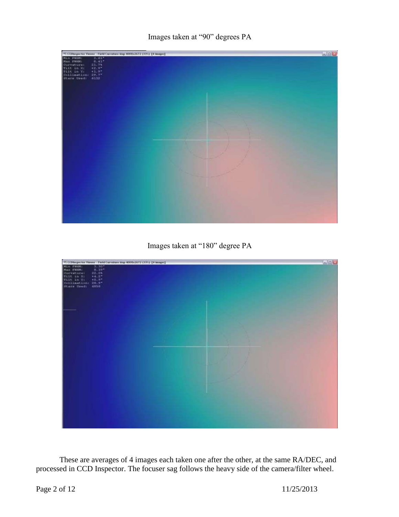

Images taken at "180" degree PA



These are averages of 4 images each taken one after the other, at the same RA/DEC, and processed in CCD Inspector. The focuser sag follows the heavy side of the camera/filter wheel.

Page 2 of 12 11/25/2013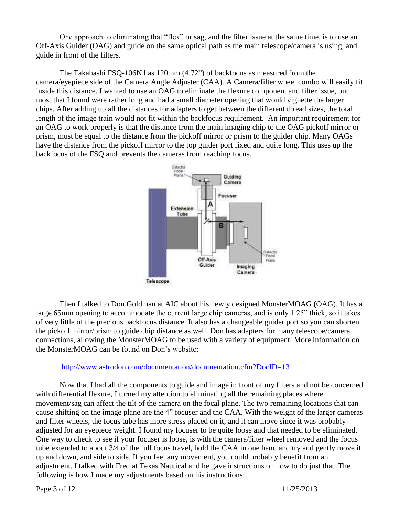One approach to eliminating that "flex" or sag, and the filter issue at the same time, is to use an Off-Axis Guider (OAG) and guide on the same optical path as the main telescope/camera is using, and guide in front of the filters.

The Takahashi FSQ-106N has 120mm (4.72") of backfocus as measured from the camera/eyepiece side of the Camera Angle Adjuster (CAA). A Camera/filter wheel combo will easily fit inside this distance. I wanted to use an OAG to eliminate the flexure component and filter issue, but most that I found were rather long and had a small diameter opening that would vignette the larger chips. After adding up all the distances for adapters to get between the different thread sizes, the total length of the image train would not fit within the backfocus requirement. An important requirement for an OAG to work properly is that the distance from the main imaging chip to the OAG pickoff mirror or prism, must be equal to the distance from the pickoff mirror or prism to the guider chip. Many OAGs have the distance from the pickoff mirror to the top guider port fixed and quite long. This uses up the backfocus of the FSQ and prevents the cameras from reaching focus.



Then I talked to Don Goldman at AIC about his newly designed MonsterMOAG (OAG). It has a large 65mm opening to accommodate the current large chip cameras, and is only 1.25" thick, so it takes of very little of the precious backfocus distance. It also has a changeable guider port so you can shorten the pickoff mirror/prism to guide chip distance as well. Don has adapters for many telescope/camera connections, allowing the MonsterMOAG to be used with a variety of equipment. More information on the MonsterMOAG can be found on Don's website:

## <http://www.astrodon.com/documentation/documentation.cfm?DocID=13>

Now that I had all the components to guide and image in front of my filters and not be concerned with differential flexure, I turned my attention to eliminating all the remaining places where movement/sag can affect the tilt of the camera on the focal plane. The two remaining locations that can cause shifting on the image plane are the 4" focuser and the CAA. With the weight of the larger cameras and filter wheels, the focus tube has more stress placed on it, and it can move since it was probably adjusted for an eyepiece weight. I found my focuser to be quite loose and that needed to be eliminated. One way to check to see if your focuser is loose, is with the camera/filter wheel removed and the focus tube extended to about 3/4 of the full focus travel, hold the CAA in one hand and try and gently move it up and down, and side to side. If you feel any movement, you could probably benefit from an adjustment. I talked with Fred at Texas Nautical and he gave instructions on how to do just that. The following is how I made my adjustments based on his instructions:

Page 3 of 12 11/25/2013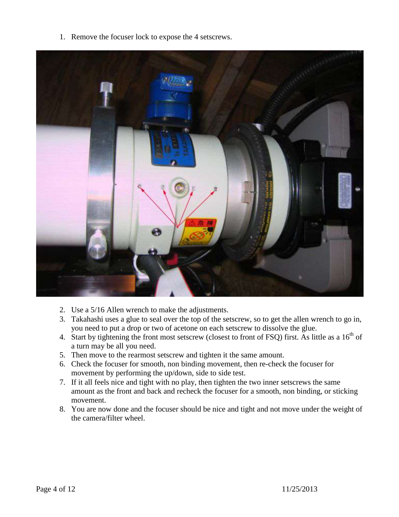1. Remove the focuser lock to expose the 4 setscrews.



- 2. Use a 5/16 Allen wrench to make the adjustments.
- 3. Takahashi uses a glue to seal over the top of the setscrew, so to get the allen wrench to go in, you need to put a drop or two of acetone on each setscrew to dissolve the glue.
- 4. Start by tightening the front most setscrew (closest to front of FSQ) first. As little as a 16<sup>th</sup> of a turn may be all you need.
- 5. Then move to the rearmost setscrew and tighten it the same amount.
- 6. Check the focuser for smooth, non binding movement, then re-check the focuser for movement by performing the up/down, side to side test.
- 7. If it all feels nice and tight with no play, then tighten the two inner setscrews the same amount as the front and back and recheck the focuser for a smooth, non binding, or sticking movement.
- 8. You are now done and the focuser should be nice and tight and not move under the weight of the camera/filter wheel.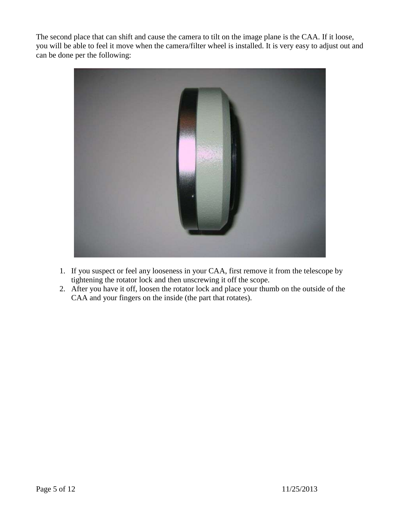The second place that can shift and cause the camera to tilt on the image plane is the CAA. If it loose, you will be able to feel it move when the camera/filter wheel is installed. It is very easy to adjust out and can be done per the following:



- 1. If you suspect or feel any looseness in your CAA, first remove it from the telescope by tightening the rotator lock and then unscrewing it off the scope.
- 2. After you have it off, loosen the rotator lock and place your thumb on the outside of the CAA and your fingers on the inside (the part that rotates).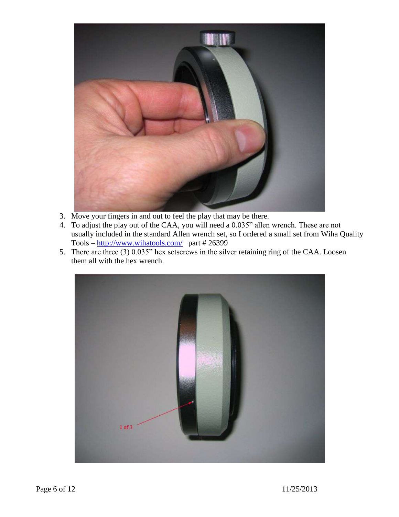

- 3. Move your fingers in and out to feel the play that may be there.
- 4. To adjust the play out of the CAA, you will need a 0.035" allen wrench. These are not usually included in the standard Allen wrench set, so I ordered a small set from Wiha Quality Tools – [http://www.wihatools.com/](http://www.wihatools.com/200seri/266pouch_sets.htm) part # 26399
- 5. There are three (3) 0.035" hex setscrews in the silver retaining ring of the CAA. Loosen them all with the hex wrench.

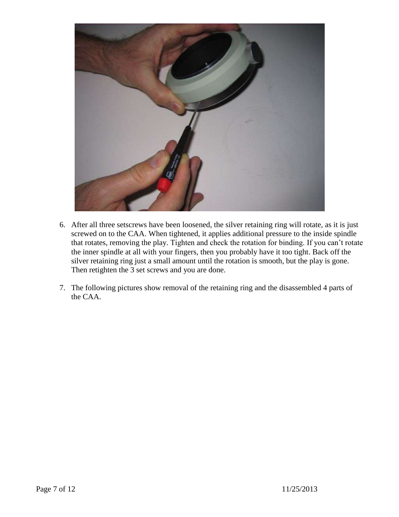

- 6. After all three setscrews have been loosened, the silver retaining ring will rotate, as it is just screwed on to the CAA. When tightened, it applies additional pressure to the inside spindle that rotates, removing the play. Tighten and check the rotation for binding. If you can't rotate the inner spindle at all with your fingers, then you probably have it too tight. Back off the silver retaining ring just a small amount until the rotation is smooth, but the play is gone. Then retighten the 3 set screws and you are done.
- 7. The following pictures show removal of the retaining ring and the disassembled 4 parts of the CAA.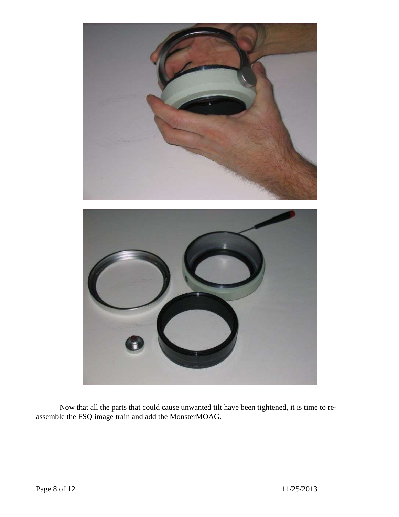

Now that all the parts that could cause unwanted tilt have been tightened, it is time to reassemble the FSQ image train and add the MonsterMOAG.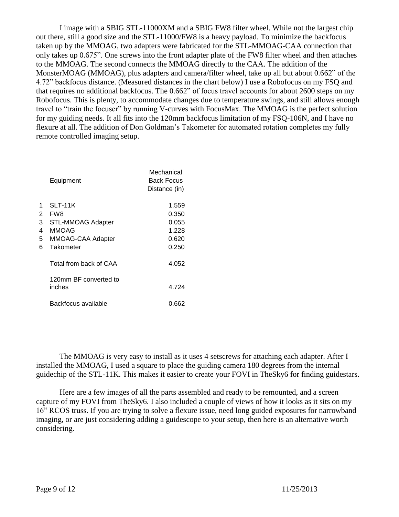I image with a SBIG STL-11000XM and a SBIG FW8 filter wheel. While not the largest chip out there, still a good size and the STL-11000/FW8 is a heavy payload. To minimize the backfocus taken up by the MMOAG, two adapters were fabricated for the STL-MMOAG-CAA connection that only takes up 0.675". One screws into the front adapter plate of the FW8 filter wheel and then attaches to the MMOAG. The second connects the MMOAG directly to the CAA. The addition of the MonsterMOAG (MMOAG), plus adapters and camera/filter wheel, take up all but about 0.662" of the 4.72" backfocus distance. (Measured distances in the chart below) I use a Robofocus on my FSQ and that requires no additional backfocus. The 0.662" of focus travel accounts for about 2600 steps on my Robofocus. This is plenty, to accommodate changes due to temperature swings, and still allows enough travel to "train the focuser" by running V-curves with FocusMax. The MMOAG is the perfect solution for my guiding needs. It all fits into the 120mm backfocus limitation of my FSQ-106N, and I have no flexure at all. The addition of Don Goldman's Takometer for automated rotation completes my fully remote controlled imaging setup.

|   | Equipment                       | Mechanical<br><b>Back Focus</b><br>Distance (in) |
|---|---------------------------------|--------------------------------------------------|
| 1 | SLT-11K                         | 1.559                                            |
| 2 | FW8                             | 0.350                                            |
| 3 | <b>STL-MMOAG Adapter</b>        | 0.055                                            |
| 4 | MMOAG                           | 1.228                                            |
| 5 | MMOAG-CAA Adapter               | 0.620                                            |
| 6 | Takometer                       | 0.250                                            |
|   | Total from back of CAA          | 4.052                                            |
|   | 120mm BF converted to<br>inches | 4 724                                            |
|   | Backfocus available             | 0.662                                            |

The MMOAG is very easy to install as it uses 4 setscrews for attaching each adapter. After I installed the MMOAG, I used a square to place the guiding camera 180 degrees from the internal guidechip of the STL-11K. This makes it easier to create your FOVI in TheSky6 for finding guidestars.

Here are a few images of all the parts assembled and ready to be remounted, and a screen capture of my FOVI from TheSky6. I also included a couple of views of how it looks as it sits on my 16" RCOS truss. If you are trying to solve a flexure issue, need long guided exposures for narrowband imaging, or are just considering adding a guidescope to your setup, then here is an alternative worth considering.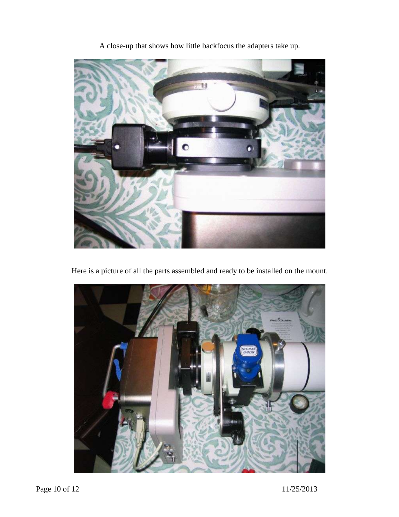

A close-up that shows how little backfocus the adapters take up.

Here is a picture of all the parts assembled and ready to be installed on the mount.

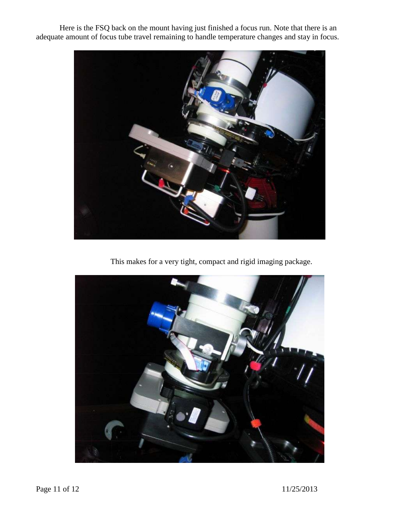Here is the FSQ back on the mount having just finished a focus run. Note that there is an adequate amount of focus tube travel remaining to handle temperature changes and stay in focus.



This makes for a very tight, compact and rigid imaging package.